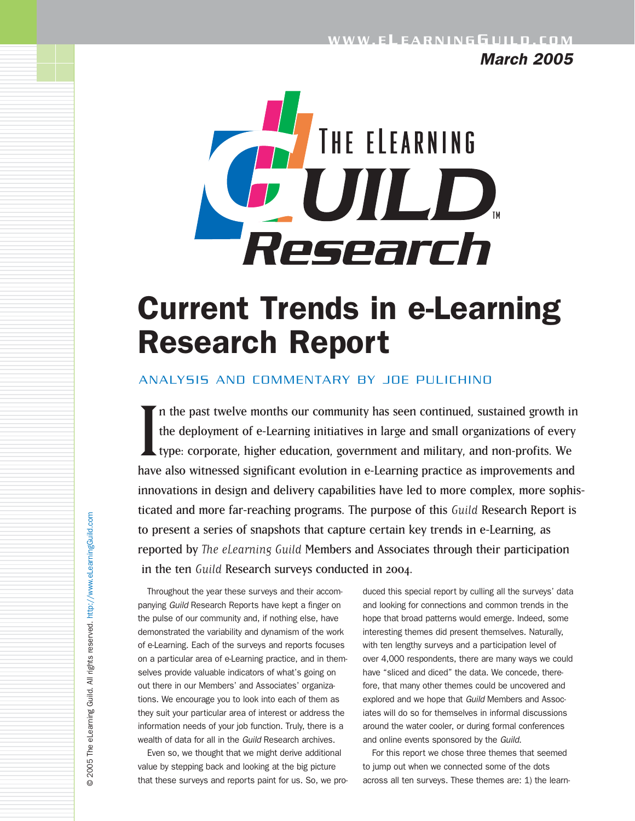*March 2005*



# Current Trends in e-Learning Research Report

### ANALYSIS AND COMMENTARY BY JOE PULICHINO

In the past twelve months our community has seen continued, sustained growth in the deployment of e-Learning initiatives in large and small organizations of every type: corporate, higher education, government and military, n the past twelve months our community has seen continued, sustained growth in the deployment of e-Learning initiatives in large and small organizations of every type: corporate, higher education, government and military, and non-profits. We innovations in design and delivery capabilities have led to more complex, more sophisticated and more far-reaching programs. The purpose of this Guild Research Report is to present a series of snapshots that capture certain key trends in e-Learning, as reported by The eLearning Guild Members and Associates through their participation in the ten Guild Research surveys conducted in 2004.

Throughout the year these surveys and their accompanying *Guild* Research Reports have kept a finger on the pulse of our community and, if nothing else, have demonstrated the variability and dynamism of the work of e-Learning. Each of the surveys and reports focuses on a particular area of e-Learning practice, and in themselves provide valuable indicators of what's going on out there in our Members' and Associates' organizations. We encourage you to look into each of them as they suit your particular area of interest or address the information needs of your job function. Truly, there is a wealth of data for all in the *Guild* Research archives.

Even so, we thought that we might derive additional value by stepping back and looking at the big picture that these surveys and reports paint for us. So, we pro-

duced this special report by culling all the surveys' data and looking for connections and common trends in the hope that broad patterns would emerge. Indeed, some interesting themes did present themselves. Naturally, with ten lengthy surveys and a participation level of over 4,000 respondents, there are many ways we could have "sliced and diced" the data. We concede, therefore, that many other themes could be uncovered and explored and we hope that *Guild* Members and Associates will do so for themselves in informal discussions around the water cooler, or during formal conferences and online events sponsored by the *Guild*.

For this report we chose three themes that seemed to jump out when we connected some of the dots across all ten surveys. These themes are: 1) the learn-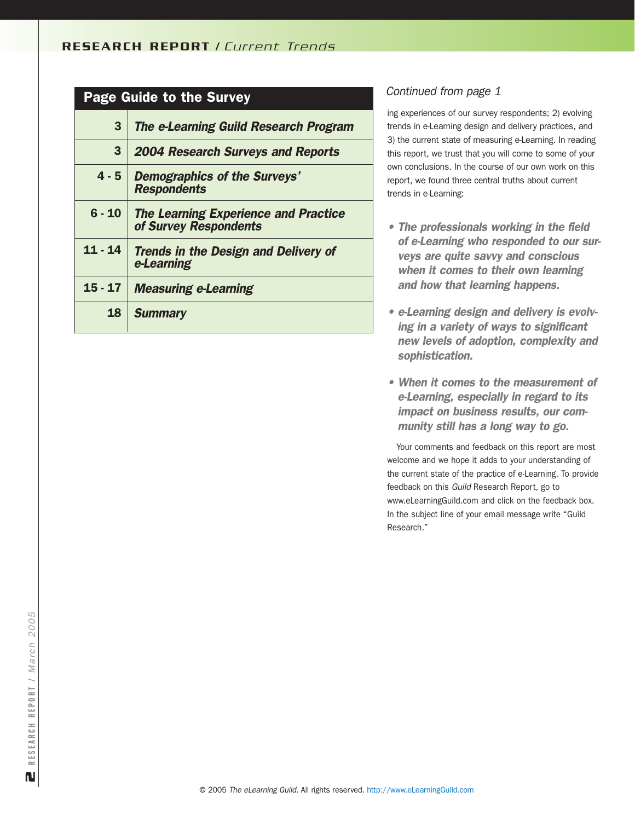### Page Guide to the Survey

| 3         | <b>The e-Learning Guild Research Program</b>                         |
|-----------|----------------------------------------------------------------------|
| 3         | <b>2004 Research Surveys and Reports</b>                             |
| $4 - 5$   | <b>Demographics of the Surveys'</b><br><b>Respondents</b>            |
| $6 - 10$  | <b>The Learning Experience and Practice</b><br>of Survey Respondents |
| $11 - 14$ | <b>Trends in the Design and Delivery of</b><br>e-Learning            |
| 15 - 17   | <b>Measuring e-Learning</b>                                          |
| 18        | <b>Summary</b>                                                       |

### *Continued from page 1*

ing experiences of our survey respondents; 2) evolving trends in e-Learning design and delivery practices, and 3) the current state of measuring e-Learning. In reading this report, we trust that you will come to some of your own conclusions. In the course of our own work on this report, we found three central truths about current trends in e-Learning:

- *The professionals working in the field of e-Learning who responded to our surveys are quite savvy and conscious when it comes to their own learning and how that learning happens.*
- *e-Learning design and delivery is evolving in a variety of ways to significant new levels of adoption, complexity and sophistication.*
- *When it comes to the measurement of e-Learning, especially in regard to its impact on business results, our community still has a long way to go.*

Your comments and feedback on this report are most welcome and we hope it adds to your understanding of the current state of the practice of e-Learning. To provide feedback on this *Guild* Research Report, go to www.eLearningGuild.com and click on the feedback box. In the subject line of your email message write "Guild Research."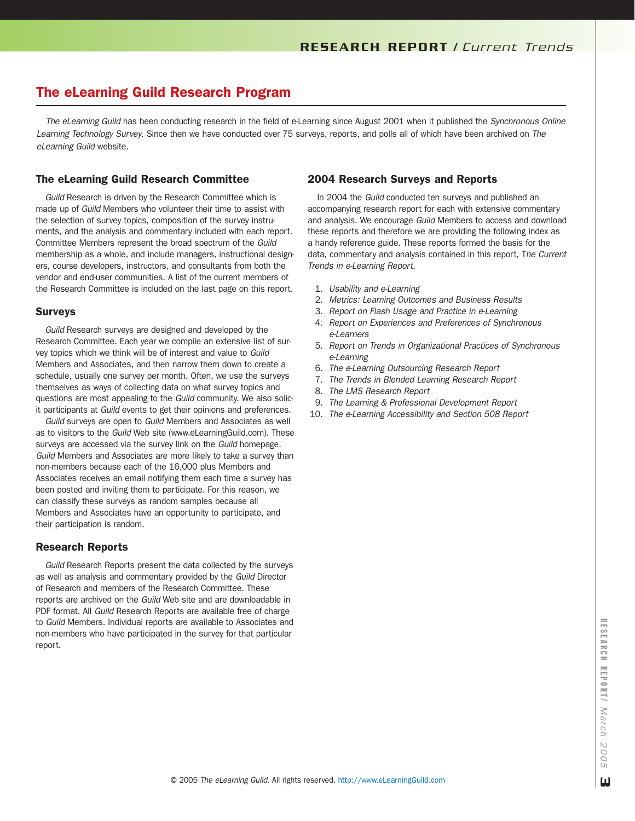# The eLearning Guild Research Program

*The eLearning Guild* has been conducting research in the field of e-Learning since August 2001 when it published the *Synchronous Online Learning Technology Survey*. Since then we have conducted over 75 surveys, reports, and polls all of which have been archived on *The eLearning Guild* website.

#### The eLearning Guild Research Committee

*Guild* Research is driven by the Research Committee which is made up of *Guild* Members who volunteer their time to assist with the selection of survey topics, composition of the survey instruments, and the analysis and commentary included with each report. Committee Members represent the broad spectrum of the *Guild* membership as a whole, and include managers, instructional designers, course developers, instructors, and consultants from both the vendor and end-user communities. A list of the current members of the Research Committee is included on the last page on this report.

#### Surveys

*Guild* Research surveys are designed and developed by the Research Committee. Each year we compile an extensive list of survey topics which we think will be of interest and value to *Guild* Members and Associates, and then narrow them down to create a schedule, usually one survey per month. Often, we use the surveys themselves as ways of collecting data on what survey topics and questions are most appealing to the *Guild* community. We also solicit participants at *Guild* events to get their opinions and preferences.

*Guild* surveys are open to *Guild* Members and Associates as well as to visitors to the *Guild* Web site (www.eLearningGuild.com). These surveys are accessed via the survey link on the *Guild* homepage. *Guild* Members and Associates are more likely to take a survey than non-members because each of the 16,000 plus Members and Associates receives an email notifying them each time a survey has been posted and inviting them to participate. For this reason, we can classify these surveys as random samples because all Members and Associates have an opportunity to participate, and their participation is random.

#### Research Reports

*Guild* Research Reports present the data collected by the surveys as well as analysis and commentary provided by the *Guild* Director of Research and members of the Research Committee. These reports are archived on the *Guild* Web site and are downloadable in PDF format. All *Guild* Research Reports are available free of charge to *Guild* Members. Individual reports are available to Associates and non-members who have participated in the survey for that particular report.

### 2004 Research Surveys and Reports

In 2004 the *Guild* conducted ten surveys and published an accompanying research report for each with extensive commentary and analysis. We encourage *Guild* Members to access and download these reports and therefore we are providing the following index as a handy reference guide. These reports formed the basis for the data, commentary and analysis contained in this report, T*he Current Trends in e-Learning Report*.

- 1. *Usability and e-Learning*
- 2. *Metrics: Learning Outcomes and Business Results*
- 3. *Report on Flash Usage and Practice in e-Learning*
- 4. *Report on Experiences and Preferences of Synchronous e-Learners*
- 5. *Report on Trends in Organizational Practices of Synchronous e-Learning*
- 6. *The e-Learning Outsourcing Research Report*
- 7. *The Trends in Blended Learning Research Report*
- 8. *The LMS Research Report*
- 9. *The Learning & Professional Development Report*
- 10. *The e-Learning Accessibility and Section 508 Report*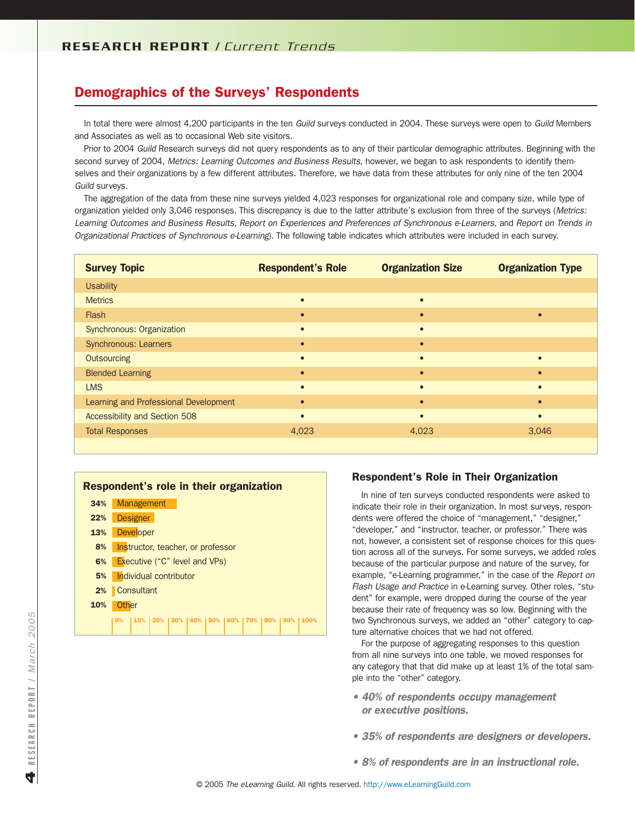### Demographics of the Surveys' Respondents

In total there were almost 4,200 participants in the ten *Guild* surveys conducted in 2004. These surveys were open to *Guild* Members and Associates as well as to occasional Web site visitors.

Prior to 2004 *Guild* Research surveys did not query respondents as to any of their particular demographic attributes. Beginning with the second survey of 2004, *Metrics: Learning Outcomes and Business Results*, however, we began to ask respondents to identify themselves and their organizations by a few different attributes. Therefore, we have data from these attributes for only nine of the ten 2004 *Guild* surveys.

The aggregation of the data from these nine surveys yielded 4,023 responses for organizational role and company size, while type of organization yielded only 3,046 responses. This discrepancy is due to the latter attribute's exclusion from three of the surveys (*Metrics: Learning Outcomes and Business Results*, *Report on Experiences and Preferences of Synchronous e-Learners*, and *Report on Trends in Organizational Practices of Synchronous e-Learning*). The following table indicates which attributes were included in each survey.

| <b>Survey Topic</b>                   | <b>Respondent's Role</b> | <b>Organization Size</b> | <b>Organization Type</b> |
|---------------------------------------|--------------------------|--------------------------|--------------------------|
| <b>Usability</b>                      |                          |                          |                          |
| <b>Metrics</b>                        | $\bullet$                | $\bullet$                |                          |
| Flash                                 | $\bullet$                | $\bullet$                |                          |
| Synchronous: Organization             | $\bullet$                | $\bullet$                |                          |
| <b>Synchronous: Learners</b>          | $\bullet$                | $\bullet$                |                          |
| Outsourcing                           | $\bullet$                | $\bullet$                |                          |
| <b>Blended Learning</b>               | $\bullet$                | $\bullet$                | $\bullet$                |
| <b>LMS</b>                            | $\bullet$                | $\bullet$                |                          |
| Learning and Professional Development | $\bullet$                | $\bullet$                | $\bullet$                |
| Accessibility and Section 508         | $\bullet$                | $\bullet$                | $\bullet$                |
| <b>Total Responses</b>                | 4,023                    | 4,023                    | 3,046                    |
|                                       |                          |                          |                          |

#### Respondent's role in their organization 34% 22% 13% 8% 6% 5% 2% Consultant 10% 0% | 10% | 20% | 30% | 40% | 50% | 60% | 70% | 80% | 90% | 100% **Management Designer Developer** Instructor, teacher, or professor Executive ("C" level and VPs) Individual contributor **Other**

#### Respondent's Role in Their Organization

In nine of ten surveys conducted respondents were asked to indicate their role in their organization. In most surveys, respondents were offered the choice of "management," "designer," "developer," and "instructor, teacher, or professor." There was not, however, a consistent set of response choices for this question across all of the surveys. For some surveys, we added roles because of the particular purpose and nature of the survey, for example, "e-Learning programmer," in the case of the *Report on Flash Usage and Practice* in e-Learning survey. Other roles, "student" for example, were dropped during the course of the year because their rate of frequency was so low. Beginning with the two Synchronous surveys, we added an "other" category to capture alternative choices that we had not offered.

For the purpose of aggregating responses to this question from all nine surveys into one table, we moved responses for any category that that did make up at least 1% of the total sample into the "other" category.

- *40% of respondents occupy management or executive positions.*
- *35% of respondents are designers or developers.*
- *8% of respondents are in an instructional role.*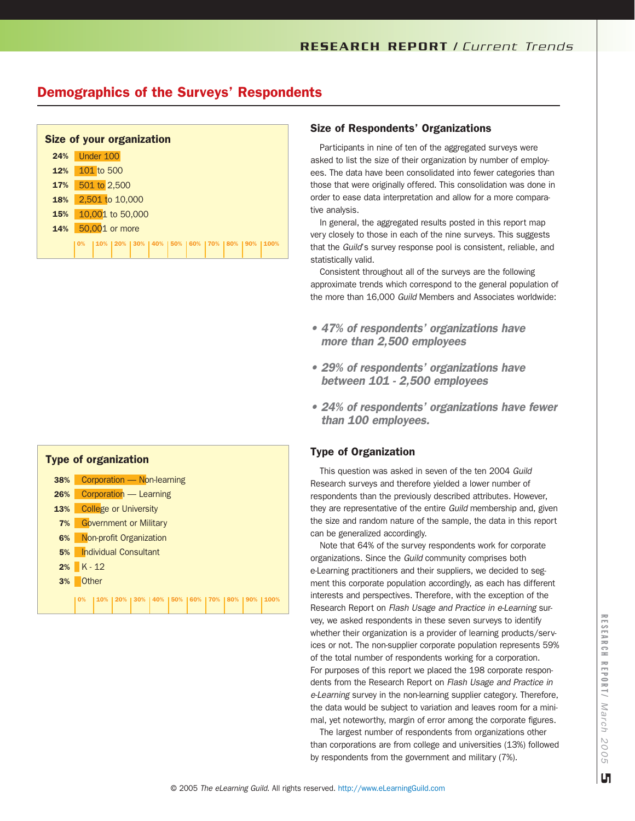# Demographics of the Surveys' Respondents

|     | <b>Size of your organization</b>                                       |
|-----|------------------------------------------------------------------------|
| 24% | Under 100                                                              |
| 12% | 101 to 500                                                             |
| 17% | 501 to 2,500                                                           |
| 18% | 2,501 to 10,000                                                        |
| 15% | 10,001 to 50,000                                                       |
| 14% | 50,001 or more                                                         |
|     | 10%   20%   30%   40%   50%   60%   70%   80%<br>$\mathbf{O}$ %<br>90% |



#### Size of Respondents' Organizations

Participants in nine of ten of the aggregated surveys were asked to list the size of their organization by number of employees. The data have been consolidated into fewer categories than those that were originally offered. This consolidation was done in order to ease data interpretation and allow for a more comparative analysis.

In general, the aggregated results posted in this report map very closely to those in each of the nine surveys. This suggests that the *Guild*'s survey response pool is consistent, reliable, and statistically valid.

Consistent throughout all of the surveys are the following approximate trends which correspond to the general population of the more than 16,000 *Guild* Members and Associates worldwide:

- *47% of respondents' organizations have more than 2,500 employees*
- *29% of respondents' organizations have between 101 - 2,500 employees*
- *24% of respondents' organizations have fewer than 100 employees.*

#### Type of Organization

This question was asked in seven of the ten 2004 *Guild* Research surveys and therefore yielded a lower number of respondents than the previously described attributes. However, they are representative of the entire *Guild* membership and, given the size and random nature of the sample, the data in this report can be generalized accordingly.

Note that 64% of the survey respondents work for corporate organizations. Since the *Guild* community comprises both e-Learning practitioners and their suppliers, we decided to segment this corporate population accordingly, as each has different interests and perspectives. Therefore, with the exception of the Research Report on *Flash Usage and Practice in e-Learning* survey, we asked respondents in these seven surveys to identify whether their organization is a provider of learning products/services or not. The non-supplier corporate population represents 59% of the total number of respondents working for a corporation. For purposes of this report we placed the 198 corporate respondents from the Research Report on *Flash Usage and Practice in e-Learning* survey in the non-learning supplier category. Therefore, the data would be subject to variation and leaves room for a minimal, yet noteworthy, margin of error among the corporate figures.

The largest number of respondents from organizations other than corporations are from college and universities (13%) followed by respondents from the government and military (7%).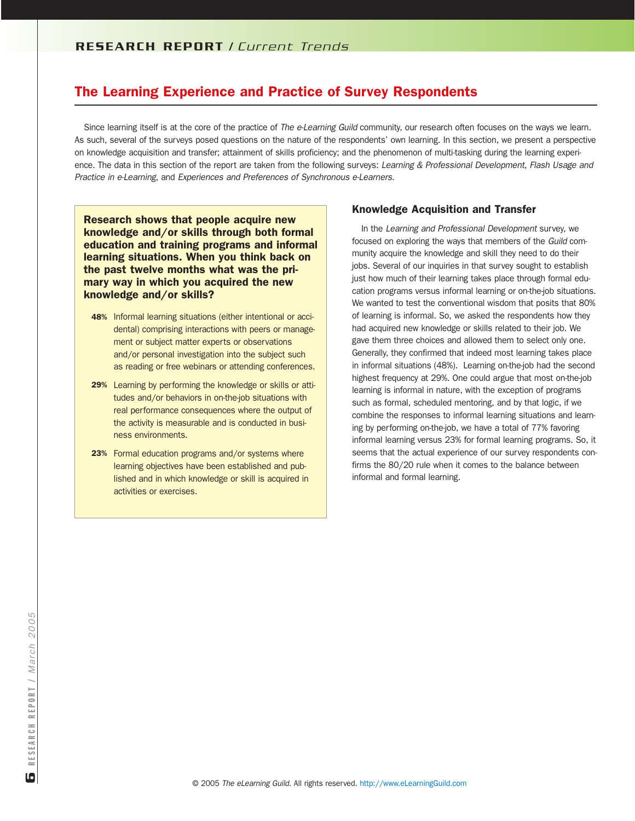# The Learning Experience and Practice of Survey Respondents

Since learning itself is at the core of the practice of *The e-Learning Guild* community, our research often focuses on the ways we learn. As such, several of the surveys posed questions on the nature of the respondents' own learning. In this section, we present a perspective on knowledge acquisition and transfer; attainment of skills proficiency; and the phenomenon of multi-tasking during the learning experience. The data in this section of the report are taken from the following surveys: *Learning & Professional Development*, *Flash Usage and Practice in e-Learning*, and *Experiences and Preferences of Synchronous e-Learners*.

Research shows that people acquire new knowledge and/or skills through both formal education and training programs and informal learning situations. When you think back on the past twelve months what was the primary way in which you acquired the new knowledge and/or skills?

- 48% Informal learning situations (either intentional or accidental) comprising interactions with peers or management or subject matter experts or observations and/or personal investigation into the subject such as reading or free webinars or attending conferences.
- 29% Learning by performing the knowledge or skills or attitudes and/or behaviors in on-the-job situations with real performance consequences where the output of the activity is measurable and is conducted in business environments.
- 23% Formal education programs and/or systems where learning objectives have been established and published and in which knowledge or skill is acquired in activities or exercises.

### Knowledge Acquisition and Transfer

In the *Learning and Professional Development* survey, we focused on exploring the ways that members of the *Guild* community acquire the knowledge and skill they need to do their jobs. Several of our inquiries in that survey sought to establish just how much of their learning takes place through formal education programs versus informal learning or on-the-job situations. We wanted to test the conventional wisdom that posits that 80% of learning is informal. So, we asked the respondents how they had acquired new knowledge or skills related to their job. We gave them three choices and allowed them to select only one. Generally, they confirmed that indeed most learning takes place in informal situations (48%). Learning on-the-job had the second highest frequency at 29%. One could argue that most on-the-job learning is informal in nature, with the exception of programs such as formal, scheduled mentoring, and by that logic, if we combine the responses to informal learning situations and learning by performing on-the-job, we have a total of 77% favoring informal learning versus 23% for formal learning programs. So, it seems that the actual experience of our survey respondents confirms the 80/20 rule when it comes to the balance between informal and formal learning.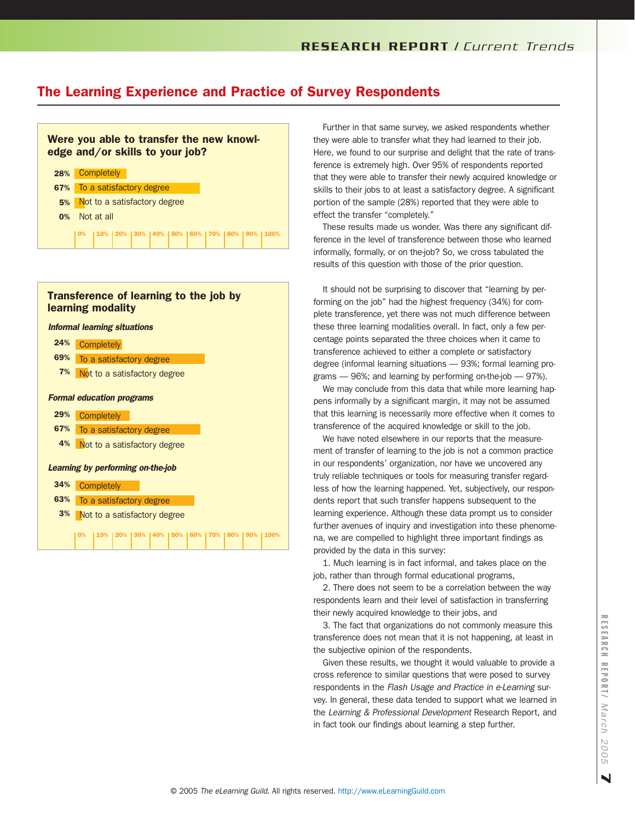# The Learning Experience and Practice of Survey Respondents



### Transference of learning to the job by learning modality



Further in that same survey, we asked respondents whether they were able to transfer what they had learned to their job. Here, we found to our surprise and delight that the rate of transference is extremely high. Over 95% of respondents reported that they were able to transfer their newly acquired knowledge or skills to their jobs to at least a satisfactory degree. A significant portion of the sample (28%) reported that they were able to effect the transfer "completely."

These results made us wonder. Was there any significant difference in the level of transference between those who learned informally, formally, or on the-job? So, we cross tabulated the results of this question with those of the prior question.

It should not be surprising to discover that "learning by performing on the job" had the highest frequency (34%) for complete transference, yet there was not much difference between these three learning modalities overall. In fact, only a few percentage points separated the three choices when it came to transference achieved to either a complete or satisfactory degree (informal learning situations — 93%; formal learning programs — 96%; and learning by performing on-the-job — 97%).

We may conclude from this data that while more learning happens informally by a significant margin, it may not be assumed that this learning is necessarily more effective when it comes to transference of the acquired knowledge or skill to the job.

We have noted elsewhere in our reports that the measurement of transfer of learning to the job is not a common practice in our respondents' organization, nor have we uncovered any truly reliable techniques or tools for measuring transfer regardless of how the learning happened. Yet, subjectively, our respondents report that such transfer happens subsequent to the learning experience. Although these data prompt us to consider further avenues of inquiry and investigation into these phenomena, we are compelled to highlight three important findings as provided by the data in this survey:

1. Much learning is in fact informal, and takes place on the job, rather than through formal educational programs,

2. There does not seem to be a correlation between the way respondents learn and their level of satisfaction in transferring their newly acquired knowledge to their jobs, and

3. The fact that organizations do not commonly measure this transference does not mean that it is not happening, at least in the subjective opinion of the respondents.

Given these results, we thought it would valuable to provide a cross reference to similar questions that were posed to survey respondents in the *Flash Usage and Practice in e-Learning* survey. In general, these data tended to support what we learned in the *Learning & Professional Development* Research Report, and in fact took our findings about learning a step further.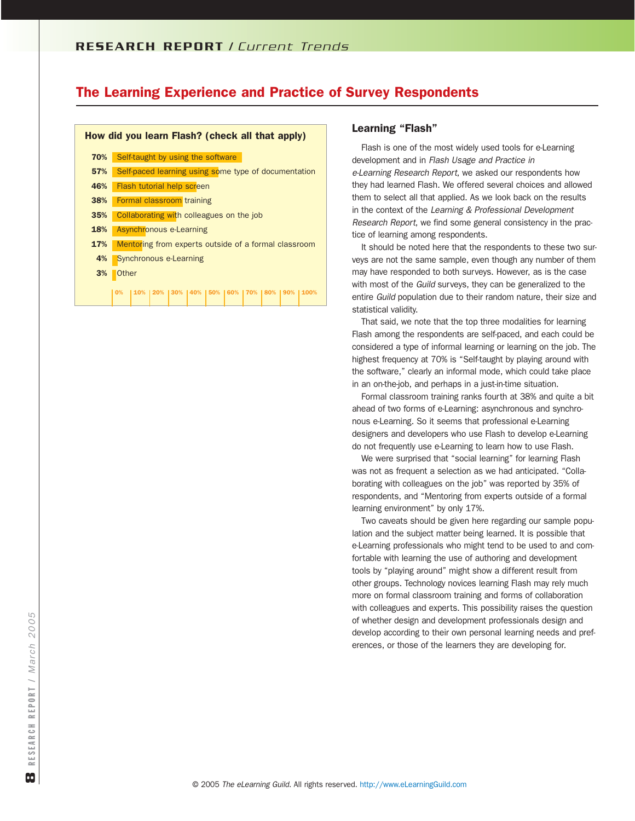### R E S E A R C H R E P O R T / *Current Trends*

### The Learning Experience and Practice of Survey Respondents

#### How did you learn Flash? (check all that apply) 70% 57% 46% 38% 35% 18% 17% 4% 3% Self-taught by using the software Self-paced learning using some type of documentation Flash tutorial help screen Formal classroom training Collaborating with colleagues on the job Asynchronous e-Learning Mentoring from experts outside of a formal classroom Synchronous e-Learning **Other** 0% | 10% | 20% | 30% | 40% | 50% | 60% | 70% | 80% | 90% | 100%

#### Learning "Flash"

Flash is one of the most widely used tools for e-Learning development and in *Flash Usage and Practice in e-Learning Research Report*, we asked our respondents how they had learned Flash. We offered several choices and allowed them to select all that applied. As we look back on the results in the context of the *Learning & Professional Development Research Report*, we find some general consistency in the practice of learning among respondents.

It should be noted here that the respondents to these two surveys are not the same sample, even though any number of them may have responded to both surveys. However, as is the case with most of the *Guild* surveys, they can be generalized to the entire *Guild* population due to their random nature, their size and statistical validity.

That said, we note that the top three modalities for learning Flash among the respondents are self-paced, and each could be considered a type of informal learning or learning on the job. The highest frequency at 70% is "Self-taught by playing around with the software," clearly an informal mode, which could take place in an on-the-job, and perhaps in a just-in-time situation.

Formal classroom training ranks fourth at 38% and quite a bit ahead of two forms of e-Learning: asynchronous and synchronous e-Learning. So it seems that professional e-Learning designers and developers who use Flash to develop e-Learning do not frequently use e-Learning to learn how to use Flash.

We were surprised that "social learning" for learning Flash was not as frequent a selection as we had anticipated. "Collaborating with colleagues on the job" was reported by 35% of respondents, and "Mentoring from experts outside of a formal learning environment" by only 17%.

Two caveats should be given here regarding our sample population and the subject matter being learned. It is possible that e-Learning professionals who might tend to be used to and comfortable with learning the use of authoring and development tools by "playing around" might show a different result from other groups. Technology novices learning Flash may rely much more on formal classroom training and forms of collaboration with colleagues and experts. This possibility raises the question of whether design and development professionals design and develop according to their own personal learning needs and preferences, or those of the learners they are developing for.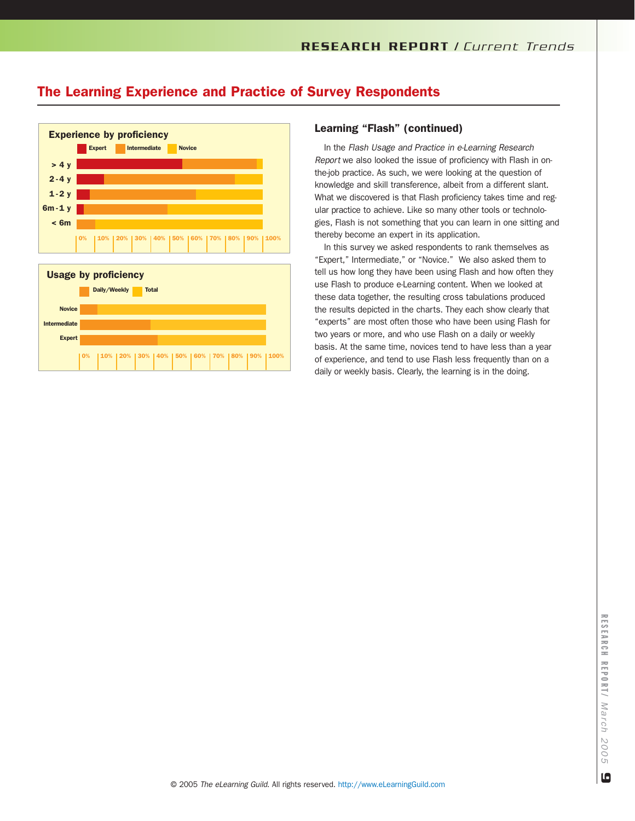# The Learning Experience and Practice of Survey Respondents



### Learning "Flash" (continued)

In the *Flash Usage and Practice in e-Learning Research Report* we also looked the issue of proficiency with Flash in onthe-job practice. As such, we were looking at the question of knowledge and skill transference, albeit from a different slant. What we discovered is that Flash proficiency takes time and regular practice to achieve. Like so many other tools or technologies, Flash is not something that you can learn in one sitting and thereby become an expert in its application.

In this survey we asked respondents to rank themselves as "Expert," Intermediate," or "Novice." We also asked them to tell us how long they have been using Flash and how often they use Flash to produce e-Learning content. When we looked at these data together, the resulting cross tabulations produced the results depicted in the charts. They each show clearly that "experts" are most often those who have been using Flash for two years or more, and who use Flash on a daily or weekly basis. At the same time, novices tend to have less than a year of experience, and tend to use Flash less frequently than on a daily or weekly basis. Clearly, the learning is in the doing.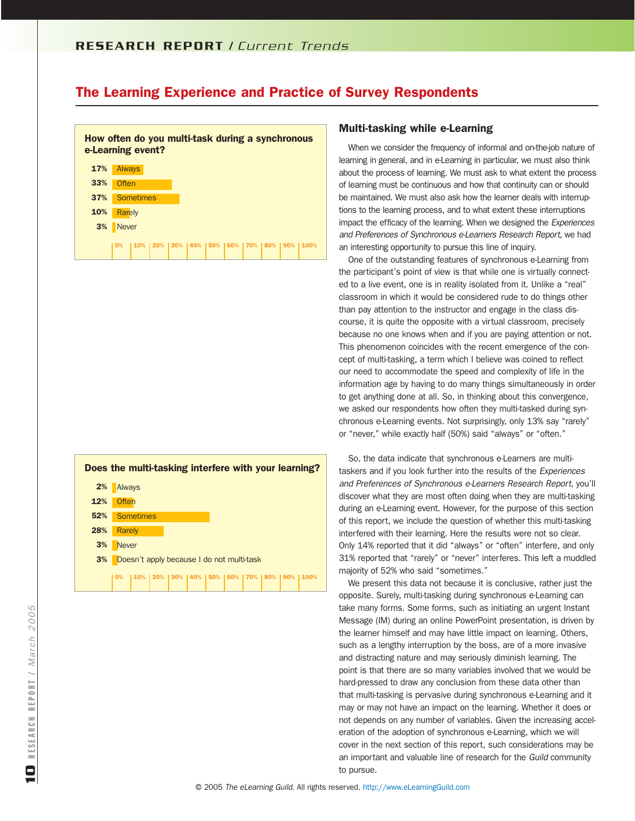### R E S E A R C H R E P O R T / *Current Trends*

### The Learning Experience and Practice of Survey Respondents

How often do you multi-task during a synchronous e-Learning event?





#### Multi-tasking while e-Learning

When we consider the frequency of informal and on-the-job nature of learning in general, and in e-Learning in particular, we must also think about the process of learning. We must ask to what extent the process of learning must be continuous and how that continuity can or should be maintained. We must also ask how the learner deals with interruptions to the learning process, and to what extent these interruptions impact the efficacy of the learning. When we designed the *Experiences and Preferences of Synchronous e-Learners Research Report*, we had an interesting opportunity to pursue this line of inquiry.

One of the outstanding features of synchronous e-Learning from the participant's point of view is that while one is virtually connected to a live event, one is in reality isolated from it. Unlike a "real" classroom in which it would be considered rude to do things other than pay attention to the instructor and engage in the class discourse, it is quite the opposite with a virtual classroom, precisely because no one knows when and if you are paying attention or not. This phenomenon coincides with the recent emergence of the concept of multi-tasking, a term which I believe was coined to reflect our need to accommodate the speed and complexity of life in the information age by having to do many things simultaneously in order to get anything done at all. So, in thinking about this convergence, we asked our respondents how often they multi-tasked during synchronous e-Learning events. Not surprisingly, only 13% say "rarely" or "never," while exactly half (50%) said "always" or "often."

So, the data indicate that synchronous e-Learners are multitaskers and if you look further into the results of the *Experiences and Preferences of Synchronous e-Learners Research Report*, you'll discover what they are most often doing when they are multi-tasking during an e-Learning event. However, for the purpose of this section of this report, we include the question of whether this multi-tasking interfered with their learning. Here the results were not so clear. Only 14% reported that it did "always" or "often" interfere, and only 31% reported that "rarely" or "never" interferes. This left a muddled majority of 52% who said "sometimes."

We present this data not because it is conclusive, rather just the opposite. Surely, multi-tasking during synchronous e-Learning can take many forms. Some forms, such as initiating an urgent Instant Message (IM) during an online PowerPoint presentation, is driven by the learner himself and may have little impact on learning. Others, such as a lengthy interruption by the boss, are of a more invasive and distracting nature and may seriously diminish learning. The point is that there are so many variables involved that we would be hard-pressed to draw any conclusion from these data other than that multi-tasking is pervasive during synchronous e-Learning and it may or may not have an impact on the learning. Whether it does or not depends on any number of variables. Given the increasing acceleration of the adoption of synchronous e-Learning, which we will cover in the next section of this report, such considerations may be an important and valuable line of research for the *Guild* community to pursue.

2005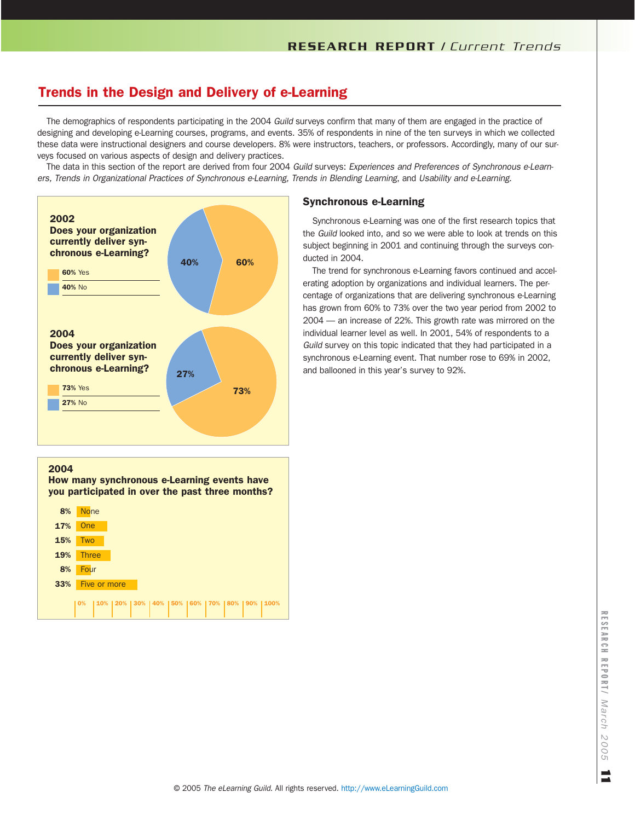The demographics of respondents participating in the 2004 *Guild* surveys confirm that many of them are engaged in the practice of designing and developing e-Learning courses, programs, and events. 35% of respondents in nine of the ten surveys in which we collected these data were instructional designers and course developers. 8% were instructors, teachers, or professors. Accordingly, many of our surveys focused on various aspects of design and delivery practices.

The data in this section of the report are derived from four 2004 *Guild* surveys: *Experiences and Preferences of Synchronous e-Learners, Trends in Organizational Practices of Synchronous e-Learning, Trends in Blending Learning*, and *Usability and e-Learning*.



### Synchronous e-Learning

Synchronous e-Learning was one of the first research topics that the *Guild* looked into, and so we were able to look at trends on this subject beginning in 2001 and continuing through the surveys conducted in 2004.

The trend for synchronous e-Learning favors continued and accelerating adoption by organizations and individual learners. The percentage of organizations that are delivering synchronous e-Learning has grown from 60% to 73% over the two year period from 2002 to 2004 — an increase of 22%. This growth rate was mirrored on the individual learner level as well. In 2001, 54% of respondents to a *Guild* survey on this topic indicated that they had participated in a synchronous e-Learning event. That number rose to 69% in 2002, and ballooned in this year's survey to 92%.

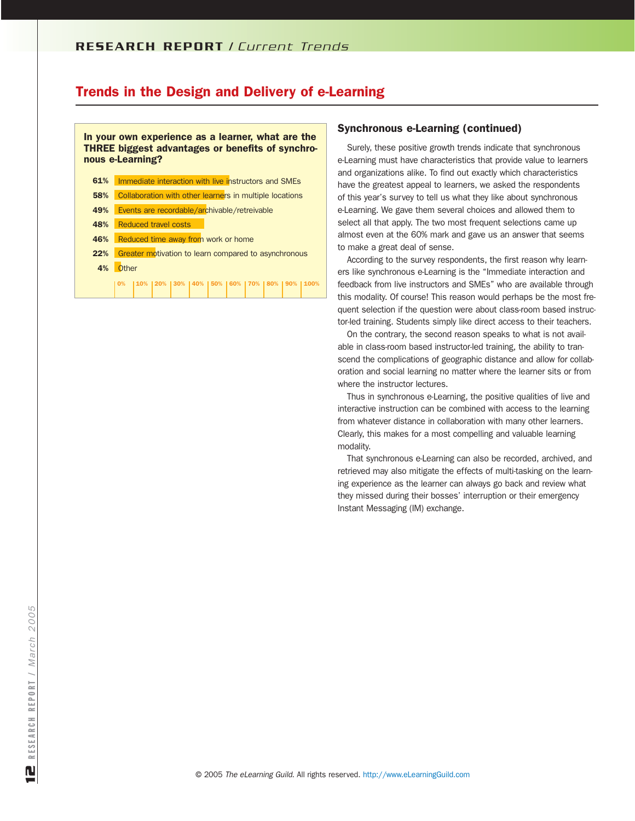#### In your own experience as a learner, what are the THREE biggest advantages or benefits of synchronous e-Learning?

| 61% | Immediate interaction with live instructors and SMEs            |
|-----|-----------------------------------------------------------------|
| 58% | Collaboration with other learners in multiple locations         |
| 49% | Events are recordable/archivable/retreivable                    |
| 48% | <b>Reduced travel costs</b>                                     |
| 46% | Reduced time away from work or home                             |
| 22% | Greater motivation to learn compared to asynchronous            |
| 4%  | <b>Other</b>                                                    |
|     | 0%   10%   20%   30%   40%   50%   60%   70%   80%   90%   100% |

# Synchronous e-Learning (continued)

Surely, these positive growth trends indicate that synchronous e-Learning must have characteristics that provide value to learners and organizations alike. To find out exactly which characteristics have the greatest appeal to learners, we asked the respondents of this year's survey to tell us what they like about synchronous e-Learning. We gave them several choices and allowed them to select all that apply. The two most frequent selections came up almost even at the 60% mark and gave us an answer that seems to make a great deal of sense.

According to the survey respondents, the first reason why learners like synchronous e-Learning is the "Immediate interaction and feedback from live instructors and SMEs" who are available through this modality. Of course! This reason would perhaps be the most frequent selection if the question were about class-room based instructor-led training. Students simply like direct access to their teachers.

On the contrary, the second reason speaks to what is not available in class-room based instructor-led training, the ability to transcend the complications of geographic distance and allow for collaboration and social learning no matter where the learner sits or from where the instructor lectures.

Thus in synchronous e-Learning, the positive qualities of live and interactive instruction can be combined with access to the learning from whatever distance in collaboration with many other learners. Clearly, this makes for a most compelling and valuable learning modality.

That synchronous e-Learning can also be recorded, archived, and retrieved may also mitigate the effects of multi-tasking on the learning experience as the learner can always go back and review what they missed during their bosses' interruption or their emergency Instant Messaging (IM) exchange.

2005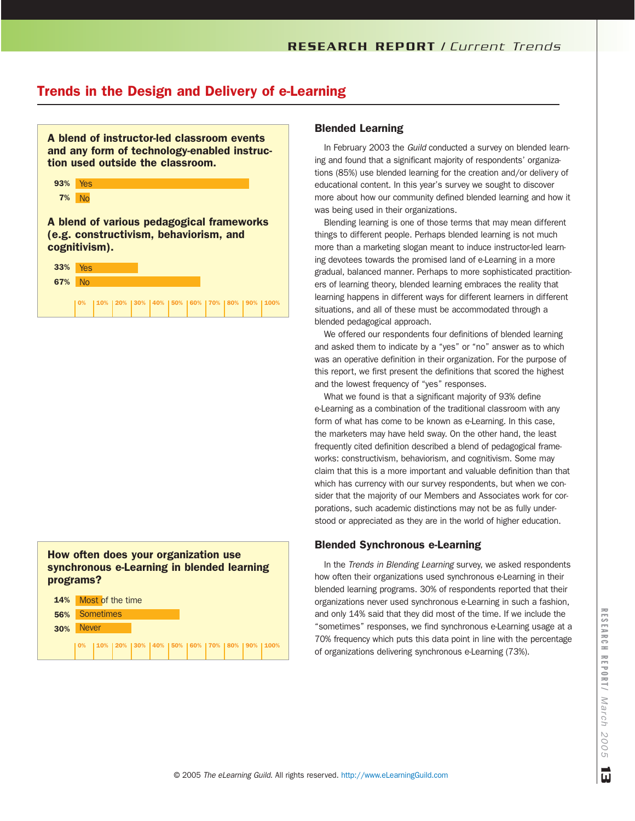A blend of instructor-led classroom events and any form of technology-enabled instruction used outside the classroom. 93% Yes

|--|--|

A blend of various pedagogical frameworks (e.g. constructivism, behaviorism, and cognitivism).

| <b>33%</b> Yes |        |  |  |  |  |                                                            |
|----------------|--------|--|--|--|--|------------------------------------------------------------|
| 67% No         |        |  |  |  |  |                                                            |
|                | l 0% l |  |  |  |  | 10%   20%   30%   40%   50%   60%   70%   80%   90%   100% |

### How often does your organization use synchronous e-Learning in blended learning programs?

| <b>14%</b> Most of the time |                                                                 |  |  |  |  |  |
|-----------------------------|-----------------------------------------------------------------|--|--|--|--|--|
| <b>56%</b> Sometimes        |                                                                 |  |  |  |  |  |
| 30% Never                   |                                                                 |  |  |  |  |  |
|                             | 0%   10%   20%   30%   40%   50%   60%   70%   80%   90%   100% |  |  |  |  |  |

### Blended Learning

In February 2003 the *Guild* conducted a survey on blended learning and found that a significant majority of respondents' organizations (85%) use blended learning for the creation and/or delivery of educational content. In this year's survey we sought to discover more about how our community defined blended learning and how it was being used in their organizations.

Blending learning is one of those terms that may mean different things to different people. Perhaps blended learning is not much more than a marketing slogan meant to induce instructor-led learning devotees towards the promised land of e-Learning in a more gradual, balanced manner. Perhaps to more sophisticated practitioners of learning theory, blended learning embraces the reality that learning happens in different ways for different learners in different situations, and all of these must be accommodated through a blended pedagogical approach.

We offered our respondents four definitions of blended learning and asked them to indicate by a "yes" or "no" answer as to which was an operative definition in their organization. For the purpose of this report, we first present the definitions that scored the highest and the lowest frequency of "yes" responses.

What we found is that a significant majority of 93% define e-Learning as a combination of the traditional classroom with any form of what has come to be known as e-Learning. In this case, the marketers may have held sway. On the other hand, the least frequently cited definition described a blend of pedagogical frameworks: constructivism, behaviorism, and cognitivism. Some may claim that this is a more important and valuable definition than that which has currency with our survey respondents, but when we consider that the majority of our Members and Associates work for corporations, such academic distinctions may not be as fully understood or appreciated as they are in the world of higher education.

#### Blended Synchronous e-Learning

In the *Trends in Blending Learning* survey, we asked respondents how often their organizations used synchronous e-Learning in their blended learning programs. 30% of respondents reported that their organizations never used synchronous e-Learning in such a fashion, and only 14% said that they did most of the time. If we include the "sometimes" responses, we find synchronous e-Learning usage at a 70% frequency which puts this data point in line with the percentage of organizations delivering synchronous e-Learning (73%).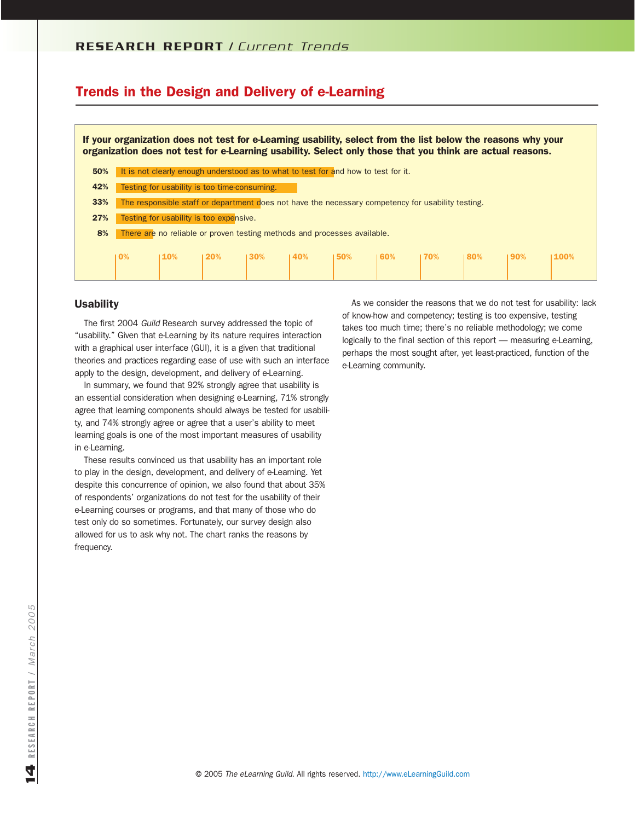If your organization does not test for e-Learning usability, select from the list below the reasons why your organization does not test for e-Learning usability. Select only those that you think are actual reasons.

- 50% It is not clearly enough understood as to what to test for and how to test for it.
- 42% Testing for usability is too time-consuming.
- 33% The responsible staff or department does not have the necessary competency for usability testing.
- 27% Testing for usability is too expensive.

8% There are no reliable or proven testing methods and processes available.

| 10% |  | $110\%$ $120\%$ $130\%$ $140\%$ $150\%$ $160\%$ $170\%$ $180\%$ $190\%$ |  |  |  | 1100% |
|-----|--|-------------------------------------------------------------------------|--|--|--|-------|
|     |  |                                                                         |  |  |  |       |

#### **Usability**

The first 2004 *Guild* Research survey addressed the topic of "usability." Given that e-Learning by its nature requires interaction with a graphical user interface (GUI), it is a given that traditional theories and practices regarding ease of use with such an interface apply to the design, development, and delivery of e-Learning.

In summary, we found that 92% strongly agree that usability is an essential consideration when designing e-Learning, 71% strongly agree that learning components should always be tested for usability, and 74% strongly agree or agree that a user's ability to meet learning goals is one of the most important measures of usability in e-Learning.

These results convinced us that usability has an important role to play in the design, development, and delivery of e-Learning. Yet despite this concurrence of opinion, we also found that about 35% of respondents' organizations do not test for the usability of their e-Learning courses or programs, and that many of those who do test only do so sometimes. Fortunately, our survey design also allowed for us to ask why not. The chart ranks the reasons by frequency.

As we consider the reasons that we do not test for usability: lack of know-how and competency; testing is too expensive, testing takes too much time; there's no reliable methodology; we come logically to the final section of this report — measuring e-Learning, perhaps the most sought after, yet least-practiced, function of the e-Learning community.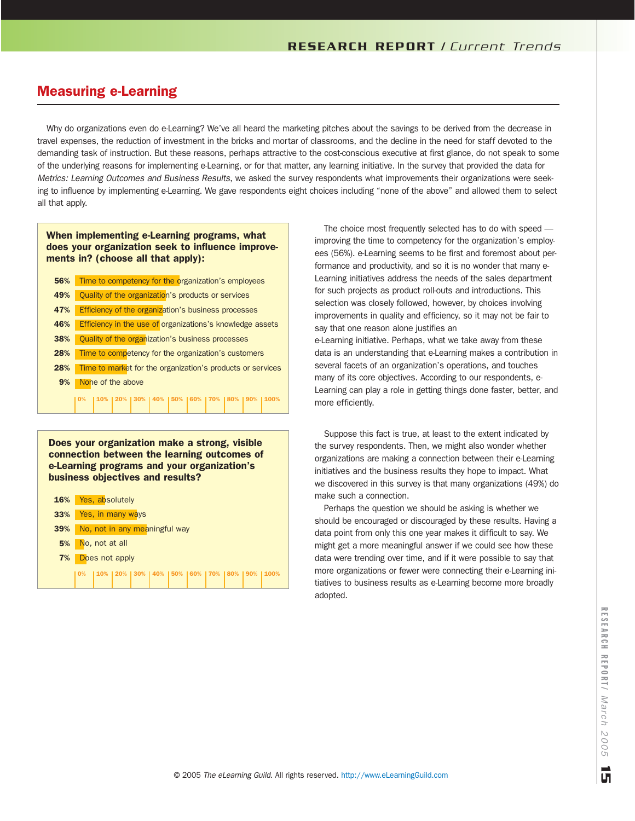# Measuring e-Learning

Why do organizations even do e-Learning? We've all heard the marketing pitches about the savings to be derived from the decrease in travel expenses, the reduction of investment in the bricks and mortar of classrooms, and the decline in the need for staff devoted to the demanding task of instruction. But these reasons, perhaps attractive to the cost-conscious executive at first glance, do not speak to some of the underlying reasons for implementing e-Learning, or for that matter, any learning initiative. In the survey that provided the data for *Metrics: Learning Outcomes and Business Results*, we asked the survey respondents what improvements their organizations were seeking to influence by implementing e-Learning. We gave respondents eight choices including "none of the above" and allowed them to select all that apply.

#### When implementing e-Learning programs, what does your organization seek to influence improvements in? (choose all that apply):

| 56% |                | Time to competency for the organization's employees |  |  |                                                           |  |  |  |       |                                                            |
|-----|----------------|-----------------------------------------------------|--|--|-----------------------------------------------------------|--|--|--|-------|------------------------------------------------------------|
| 49% |                |                                                     |  |  | Quality of the organization's products or services        |  |  |  |       |                                                            |
| 47% |                |                                                     |  |  | Efficiency of the organization's business processes       |  |  |  |       |                                                            |
| 46% |                |                                                     |  |  | Efficiency in the use of organizations's knowledge assets |  |  |  |       |                                                            |
| 38% |                |                                                     |  |  | Quality of the organization's business processes          |  |  |  |       |                                                            |
| 28% |                |                                                     |  |  | Time to competency for the organization's customers       |  |  |  |       |                                                            |
| 28% |                |                                                     |  |  |                                                           |  |  |  |       | Time to market for the organization's products or services |
| 9%  |                | None of the above                                   |  |  |                                                           |  |  |  |       |                                                            |
|     | $\mathbf{0\%}$ |                                                     |  |  | 10% 20% 30% 40% 50% 60% 70% 80%                           |  |  |  | l 90% |                                                            |
|     |                |                                                     |  |  |                                                           |  |  |  |       |                                                            |

Does your organization make a strong, visible connection between the learning outcomes of e-Learning programs and your organization's business objectives and results?



The choice most frequently selected has to do with speed improving the time to competency for the organization's employees (56%). e-Learning seems to be first and foremost about performance and productivity, and so it is no wonder that many e-Learning initiatives address the needs of the sales department for such projects as product roll-outs and introductions. This selection was closely followed, however, by choices involving improvements in quality and efficiency, so it may not be fair to say that one reason alone justifies an

e-Learning initiative. Perhaps, what we take away from these data is an understanding that e-Learning makes a contribution in several facets of an organization's operations, and touches many of its core objectives. According to our respondents, e-Learning can play a role in getting things done faster, better, and more efficiently.

Suppose this fact is true, at least to the extent indicated by the survey respondents. Then, we might also wonder whether organizations are making a connection between their e-Learning initiatives and the business results they hope to impact. What we discovered in this survey is that many organizations (49%) do make such a connection.

Perhaps the question we should be asking is whether we should be encouraged or discouraged by these results. Having a data point from only this one year makes it difficult to say. We might get a more meaningful answer if we could see how these data were trending over time, and if it were possible to say that more organizations or fewer were connecting their e-Learning initiatives to business results as e-Learning become more broadly adopted.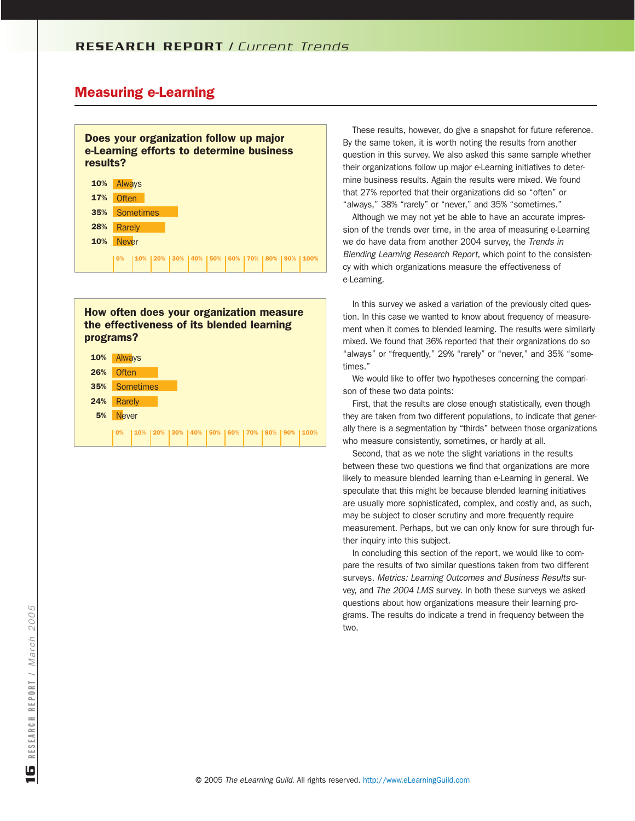### Measuring e-Learning



#### How often does your organization measure the effectiveness of its blended learning programs?

| 10% | Always       |  |  |  |  |                                                   |
|-----|--------------|--|--|--|--|---------------------------------------------------|
| 26% | Often        |  |  |  |  |                                                   |
| 35% | Sometimes    |  |  |  |  |                                                   |
| 24% | Rarely       |  |  |  |  |                                                   |
| 5%  | <b>Never</b> |  |  |  |  |                                                   |
|     | 10%          |  |  |  |  | 10% 120% 130% 140% 150% 160% 170% 180% 190% 1100% |

These results, however, do give a snapshot for future reference. By the same token, it is worth noting the results from another question in this survey. We also asked this same sample whether their organizations follow up major e-Learning initiatives to determine business results. Again the results were mixed. We found that 27% reported that their organizations did so "often" or "always," 38% "rarely" or "never," and 35% "sometimes."

Although we may not yet be able to have an accurate impression of the trends over time, in the area of measuring e-Learning we do have data from another 2004 survey, the *Trends in Blending Learning Research Report*, which point to the consistency with which organizations measure the effectiveness of e-Learning.

In this survey we asked a variation of the previously cited question. In this case we wanted to know about frequency of measurement when it comes to blended learning. The results were similarly mixed. We found that 36% reported that their organizations do so "always" or "frequently," 29% "rarely" or "never," and 35% "sometimes."

We would like to offer two hypotheses concerning the comparison of these two data points:

First, that the results are close enough statistically, even though they are taken from two different populations, to indicate that generally there is a segmentation by "thirds" between those organizations who measure consistently, sometimes, or hardly at all.

Second, that as we note the slight variations in the results between these two questions we find that organizations are more likely to measure blended learning than e-Learning in general. We speculate that this might be because blended learning initiatives are usually more sophisticated, complex, and costly and, as such, may be subject to closer scrutiny and more frequently require measurement. Perhaps, but we can only know for sure through further inquiry into this subject.

In concluding this section of the report, we would like to compare the results of two similar questions taken from two different surveys, *Metrics: Learning Outcomes and Business Results* survey, and *The 2004 LMS* survey. In both these surveys we asked questions about how organizations measure their learning programs. The results do indicate a trend in frequency between the two.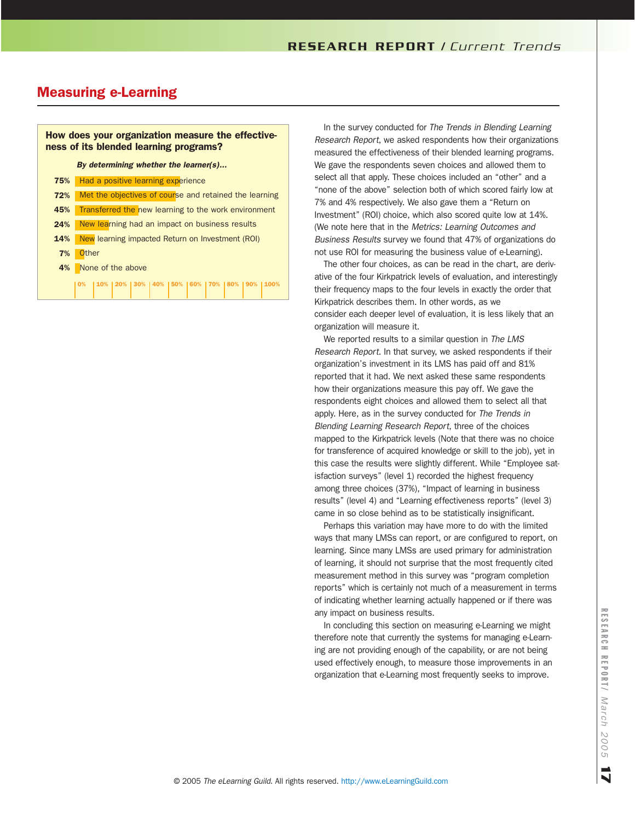# Measuring e-Learning

### How does your organization measure the effectiveness of its blended learning programs?

*By determining whether the learner(s)...*

| 75% | Had a positive learning experience                                        |
|-----|---------------------------------------------------------------------------|
| 72% | Met the objectives of course and retained the learning                    |
| 45% | Transferred the new learning to the work environment                      |
| 24% | New learning had an impact on business results                            |
| 14% | New learning impacted Return on Investment (ROI)                          |
| 7%  | <b>Other</b>                                                              |
| 4%  | None of the above                                                         |
|     | 0%    10%    20%    30%    40%    50%    60%    70%    80%    90%    100% |

. . .

In the survey conducted for *The Trends in Blending Learning Research Report*, we asked respondents how their organizations measured the effectiveness of their blended learning programs. We gave the respondents seven choices and allowed them to select all that apply. These choices included an "other" and a "none of the above" selection both of which scored fairly low at 7% and 4% respectively. We also gave them a "Return on Investment" (ROI) choice, which also scored quite low at 14%. (We note here that in the *Metrics: Learning Outcomes and Business Results* survey we found that 47% of organizations do not use ROI for measuring the business value of e-Learning).

The other four choices, as can be read in the chart, are derivative of the four Kirkpatrick levels of evaluation, and interestingly their frequency maps to the four levels in exactly the order that Kirkpatrick describes them. In other words, as we consider each deeper level of evaluation, it is less likely that an organization will measure it.

We reported results to a similar question in *The LMS Research Report*. In that survey, we asked respondents if their organization's investment in its LMS has paid off and 81% reported that it had. We next asked these same respondents how their organizations measure this pay off. We gave the respondents eight choices and allowed them to select all that apply. Here, as in the survey conducted for *The Trends in Blending Learning Research Report*, three of the choices mapped to the Kirkpatrick levels (Note that there was no choice for transference of acquired knowledge or skill to the job), yet in this case the results were slightly different. While "Employee satisfaction surveys" (level 1) recorded the highest frequency among three choices (37%), "Impact of learning in business results" (level 4) and "Learning effectiveness reports" (level 3) came in so close behind as to be statistically insignificant.

Perhaps this variation may have more to do with the limited ways that many LMSs can report, or are configured to report, on learning. Since many LMSs are used primary for administration of learning, it should not surprise that the most frequently cited measurement method in this survey was "program completion reports" which is certainly not much of a measurement in terms of indicating whether learning actually happened or if there was any impact on business results.

In concluding this section on measuring e-Learning we might therefore note that currently the systems for managing e-Learning are not providing enough of the capability, or are not being used effectively enough, to measure those improvements in an organization that e-Learning most frequently seeks to improve.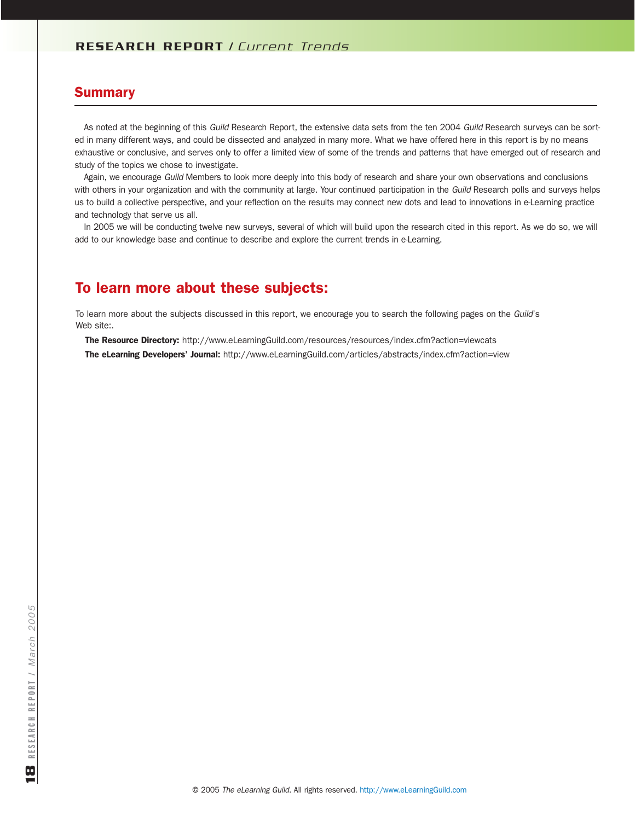### **Summary**

As noted at the beginning of this *Guild* Research Report, the extensive data sets from the ten 2004 *Guild* Research surveys can be sorted in many different ways, and could be dissected and analyzed in many more. What we have offered here in this report is by no means exhaustive or conclusive, and serves only to offer a limited view of some of the trends and patterns that have emerged out of research and study of the topics we chose to investigate.

Again, we encourage *Guild* Members to look more deeply into this body of research and share your own observations and conclusions with others in your organization and with the community at large. Your continued participation in the *Guild* Research polls and surveys helps us to build a collective perspective, and your reflection on the results may connect new dots and lead to innovations in e-Learning practice and technology that serve us all.

In 2005 we will be conducting twelve new surveys, several of which will build upon the research cited in this report. As we do so, we will add to our knowledge base and continue to describe and explore the current trends in e-Learning.

# To learn more about these subjects:

To learn more about the subjects discussed in this report, we encourage you to search the following pages on the *Guild*'s Web site:.

The Resource Directory: http://www.eLearningGuild.com/resources/resources/index.cfm?action=viewcats The eLearning Developers' Journal: http://www.eLearningGuild.com/articles/abstracts/index.cfm?action=view